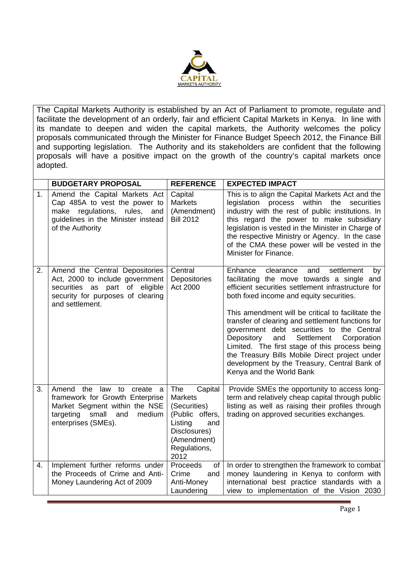

The Capital Markets Authority is established by an Act of Parliament to promote, regulate and facilitate the development of an orderly, fair and efficient Capital Markets in Kenya. In line with its mandate to deepen and widen the capital markets, the Authority welcomes the policy proposals communicated through the Minister for Finance Budget Speech 2012, the Finance Bill and supporting legislation. The Authority and its stakeholders are confident that the following proposals will have a positive impact on the growth of the country's capital markets once adopted.

|    | <b>BUDGETARY PROPOSAL</b>                                                                                                                                   | <b>REFERENCE</b>                                                                                                                             | <b>EXPECTED IMPACT</b>                                                                                                                                                                                                                                                                                                                                                                                                                                                                                                                                                                   |
|----|-------------------------------------------------------------------------------------------------------------------------------------------------------------|----------------------------------------------------------------------------------------------------------------------------------------------|------------------------------------------------------------------------------------------------------------------------------------------------------------------------------------------------------------------------------------------------------------------------------------------------------------------------------------------------------------------------------------------------------------------------------------------------------------------------------------------------------------------------------------------------------------------------------------------|
| 1. | Amend the Capital Markets Act<br>Cap 485A to vest the power to<br>make regulations, rules, and<br>guidelines in the Minister instead<br>of the Authority    | Capital<br><b>Markets</b><br>(Amendment)<br><b>Bill 2012</b>                                                                                 | This is to align the Capital Markets Act and the<br>legislation process within the<br>securities<br>industry with the rest of public institutions. In<br>this regard the power to make subsidiary<br>legislation is vested in the Minister in Charge of<br>the respective Ministry or Agency. In the case<br>of the CMA these power will be vested in the<br>Minister for Finance.                                                                                                                                                                                                       |
| 2. | Amend the Central Depositories<br>Act, 2000 to include government<br>securities as part of eligible<br>security for purposes of clearing<br>and settlement. | Central<br>Depositories<br>Act 2000                                                                                                          | Enhance<br>settlement<br>clearance<br>and<br>by<br>facilitating the move towards a single and<br>efficient securities settlement infrastructure for<br>both fixed income and equity securities.<br>This amendment will be critical to facilitate the<br>transfer of clearing and settlement functions for<br>government debt securities to the Central<br>Depository<br>and<br>Settlement<br>Corporation<br>Limited. The first stage of this process being<br>the Treasury Bills Mobile Direct project under<br>development by the Treasury, Central Bank of<br>Kenya and the World Bank |
| 3. | Amend the law to create a<br>framework for Growth Enterprise<br>Market Segment within the NSE<br>targeting small<br>medium<br>and<br>enterprises (SMEs).    | The<br>Capital<br><b>Markets</b><br>(Securities)<br>(Public offers,<br>Listing<br>and<br>Disclosures)<br>(Amendment)<br>Regulations,<br>2012 | Provide SMEs the opportunity to access long-<br>term and relatively cheap capital through public<br>listing as well as raising their profiles through<br>trading on approved securities exchanges.                                                                                                                                                                                                                                                                                                                                                                                       |
| 4. | Implement further reforms under<br>the Proceeds of Crime and Anti-<br>Money Laundering Act of 2009                                                          | Proceeds<br>of<br>Crime<br>and<br>Anti-Money<br>Laundering                                                                                   | In order to strengthen the framework to combat<br>money laundering in Kenya to conform with<br>international best practice standards with a<br>view to implementation of the Vision 2030                                                                                                                                                                                                                                                                                                                                                                                                 |